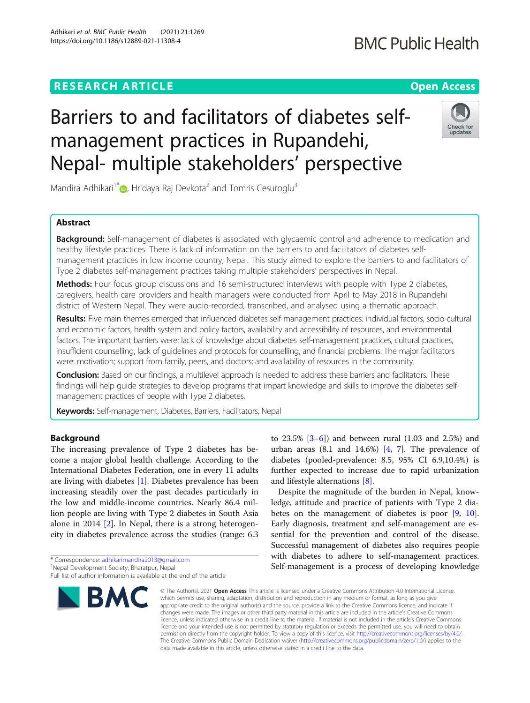# **RESEARCH ARTICLE Example 2014 12:30 The Contract of Contract ACCESS**

## Barriers to and facilitators of diabetes selfmanagement practices in Rupandehi, Nepal- multiple stakeholders' perspective

Mandira Adhikari<sup>1[\\*](http://orcid.org/0000-0003-3961-4002)</sup> , Hridaya Raj Devkota<sup>2</sup> and Tomris Cesuroglu<sup>3</sup>

### Abstract

Background: Self-management of diabetes is associated with glycaemic control and adherence to medication and healthy lifestyle practices. There is lack of information on the barriers to and facilitators of diabetes selfmanagement practices in low income country, Nepal. This study aimed to explore the barriers to and facilitators of Type 2 diabetes self-management practices taking multiple stakeholders' perspectives in Nepal.

Methods: Four focus group discussions and 16 semi-structured interviews with people with Type 2 diabetes, caregivers, health care providers and health managers were conducted from April to May 2018 in Rupandehi district of Western Nepal. They were audio-recorded, transcribed, and analysed using a thematic approach.

Results: Five main themes emerged that influenced diabetes self-management practices: individual factors, socio-cultural and economic factors, health system and policy factors, availability and accessibility of resources, and environmental factors. The important barriers were: lack of knowledge about diabetes self-management practices, cultural practices, insufficient counselling, lack of guidelines and protocols for counselling, and financial problems. The major facilitators were: motivation; support from family, peers, and doctors; and availability of resources in the community.

Conclusion: Based on our findings, a multilevel approach is needed to address these barriers and facilitators. These findings will help guide strategies to develop programs that impart knowledge and skills to improve the diabetes selfmanagement practices of people with Type 2 diabetes.

Keywords: Self-management, Diabetes, Barriers, Facilitators, Nepal

#### Background

The increasing prevalence of Type 2 diabetes has become a major global health challenge. According to the International Diabetes Federation, one in every 11 adults are living with diabetes [\[1](#page-15-0)]. Diabetes prevalence has been increasing steadily over the past decades particularly in the low and middle-income countries. Nearly 86.4 million people are living with Type 2 diabetes in South Asia alone in 2014 [[2\]](#page-15-0). In Nepal, there is a strong heterogeneity in diabetes prevalence across the studies (range: 6.3

\* Correspondence: [adhikarimandira2013@gmail.com](mailto:adhikarimandira2013@gmail.com) <sup>1</sup>

**BMC** 



ledge, attitude and practice of patients with Type 2 diabetes on the management of diabetes is poor [\[9](#page-15-0), [10](#page-15-0)]. Early diagnosis, treatment and self-management are essential for the prevention and control of the disease. Successful management of diabetes also requires people with diabetes to adhere to self-management practices. Self-management is a process of developing knowledge

© The Author(s), 2021 **Open Access** This article is licensed under a Creative Commons Attribution 4.0 International License, which permits use, sharing, adaptation, distribution and reproduction in any medium or format, as long as you give appropriate credit to the original author(s) and the source, provide a link to the Creative Commons licence, and indicate if changes were made. The images or other third party material in this article are included in the article's Creative Commons licence, unless indicated otherwise in a credit line to the material. If material is not included in the article's Creative Commons licence and your intended use is not permitted by statutory regulation or exceeds the permitted use, you will need to obtain permission directly from the copyright holder. To view a copy of this licence, visit [http://creativecommons.org/licenses/by/4.0/.](http://creativecommons.org/licenses/by/4.0/) The Creative Commons Public Domain Dedication waiver [\(http://creativecommons.org/publicdomain/zero/1.0/](http://creativecommons.org/publicdomain/zero/1.0/)) applies to the data made available in this article, unless otherwise stated in a credit line to the data.





<sup>&</sup>lt;sup>1</sup>Nepal Development Society, Bharatpur, Nepal

Full list of author information is available at the end of the article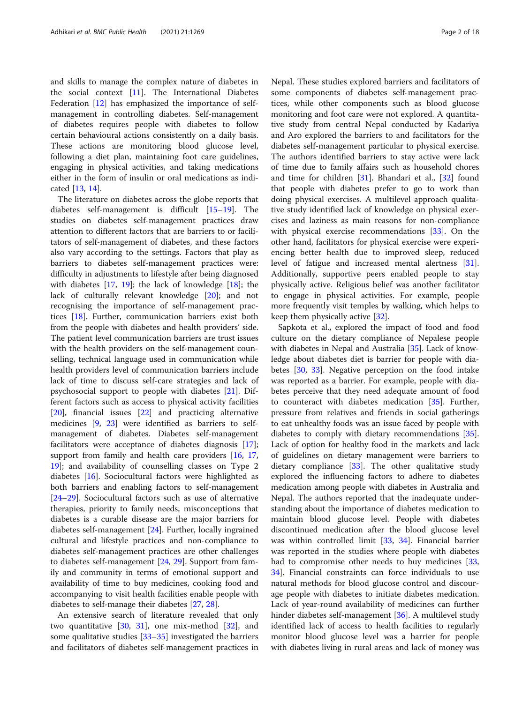and skills to manage the complex nature of diabetes in the social context [[11](#page-15-0)]. The International Diabetes Federation [\[12](#page-15-0)] has emphasized the importance of selfmanagement in controlling diabetes. Self-management of diabetes requires people with diabetes to follow certain behavioural actions consistently on a daily basis. These actions are monitoring blood glucose level, following a diet plan, maintaining foot care guidelines, engaging in physical activities, and taking medications either in the form of insulin or oral medications as indicated [\[13](#page-15-0), [14](#page-15-0)].

The literature on diabetes across the globe reports that diabetes self-management is difficult [[15](#page-15-0)–[19](#page-15-0)]. The studies on diabetes self-management practices draw attention to different factors that are barriers to or facilitators of self-management of diabetes, and these factors also vary according to the settings. Factors that play as barriers to diabetes self-management practices were: difficulty in adjustments to lifestyle after being diagnosed with diabetes [[17,](#page-15-0) [19](#page-15-0)]; the lack of knowledge [[18\]](#page-15-0); the lack of culturally relevant knowledge [[20\]](#page-15-0); and not recognising the importance of self-management practices [\[18](#page-15-0)]. Further, communication barriers exist both from the people with diabetes and health providers' side. The patient level communication barriers are trust issues with the health providers on the self-management counselling, technical language used in communication while health providers level of communication barriers include lack of time to discuss self-care strategies and lack of psychosocial support to people with diabetes [[21\]](#page-15-0). Different factors such as access to physical activity facilities [[20\]](#page-15-0), financial issues [[22\]](#page-15-0) and practicing alternative medicines [[9,](#page-15-0) [23](#page-15-0)] were identified as barriers to selfmanagement of diabetes. Diabetes self-management facilitators were acceptance of diabetes diagnosis [\[17](#page-15-0)]; support from family and health care providers [\[16](#page-15-0), [17](#page-15-0), [19\]](#page-15-0); and availability of counselling classes on Type 2 diabetes [[16](#page-15-0)]. Sociocultural factors were highlighted as both barriers and enabling factors to self-management [[24](#page-15-0)–[29](#page-16-0)]. Sociocultural factors such as use of alternative therapies, priority to family needs, misconceptions that diabetes is a curable disease are the major barriers for diabetes self-management [[24\]](#page-15-0). Further, locally ingrained cultural and lifestyle practices and non-compliance to diabetes self-management practices are other challenges to diabetes self-management [[24,](#page-15-0) [29\]](#page-16-0). Support from family and community in terms of emotional support and availability of time to buy medicines, cooking food and accompanying to visit health facilities enable people with diabetes to self-manage their diabetes [[27,](#page-16-0) [28](#page-16-0)].

An extensive search of literature revealed that only two quantitative [\[30,](#page-16-0) [31\]](#page-16-0), one mix-method [\[32](#page-16-0)], and some qualitative studies  $[33-35]$  $[33-35]$  $[33-35]$  $[33-35]$  $[33-35]$  investigated the barriers and facilitators of diabetes self-management practices in Nepal. These studies explored barriers and facilitators of some components of diabetes self-management practices, while other components such as blood glucose monitoring and foot care were not explored. A quantitative study from central Nepal conducted by Kadariya and Aro explored the barriers to and facilitators for the diabetes self-management particular to physical exercise. The authors identified barriers to stay active were lack of time due to family affairs such as household chores and time for children [[31\]](#page-16-0). Bhandari et al., [\[32\]](#page-16-0) found that people with diabetes prefer to go to work than doing physical exercises. A multilevel approach qualitative study identified lack of knowledge on physical exercises and laziness as main reasons for non-compliance with physical exercise recommendations [\[33](#page-16-0)]. On the other hand, facilitators for physical exercise were experiencing better health due to improved sleep, reduced level of fatigue and increased mental alertness [\[31](#page-16-0)]. Additionally, supportive peers enabled people to stay physically active. Religious belief was another facilitator to engage in physical activities. For example, people more frequently visit temples by walking, which helps to keep them physically active [[32](#page-16-0)].

Sapkota et al., explored the impact of food and food culture on the dietary compliance of Nepalese people with diabetes in Nepal and Australia [\[35\]](#page-16-0). Lack of knowledge about diabetes diet is barrier for people with diabetes [\[30](#page-16-0), [33\]](#page-16-0). Negative perception on the food intake was reported as a barrier. For example, people with diabetes perceive that they need adequate amount of food to counteract with diabetes medication [[35\]](#page-16-0). Further, pressure from relatives and friends in social gatherings to eat unhealthy foods was an issue faced by people with diabetes to comply with dietary recommendations [\[35](#page-16-0)]. Lack of option for healthy food in the markets and lack of guidelines on dietary management were barriers to dietary compliance [\[33](#page-16-0)]. The other qualitative study explored the influencing factors to adhere to diabetes medication among people with diabetes in Australia and Nepal. The authors reported that the inadequate understanding about the importance of diabetes medication to maintain blood glucose level. People with diabetes discontinued medication after the blood glucose level was within controlled limit [[33,](#page-16-0) [34](#page-16-0)]. Financial barrier was reported in the studies where people with diabetes had to compromise other needs to buy medicines [[33](#page-16-0), [34\]](#page-16-0). Financial constraints can force individuals to use natural methods for blood glucose control and discourage people with diabetes to initiate diabetes medication. Lack of year-round availability of medicines can further hinder diabetes self-management [[36\]](#page-16-0). A multilevel study identified lack of access to health facilities to regularly monitor blood glucose level was a barrier for people with diabetes living in rural areas and lack of money was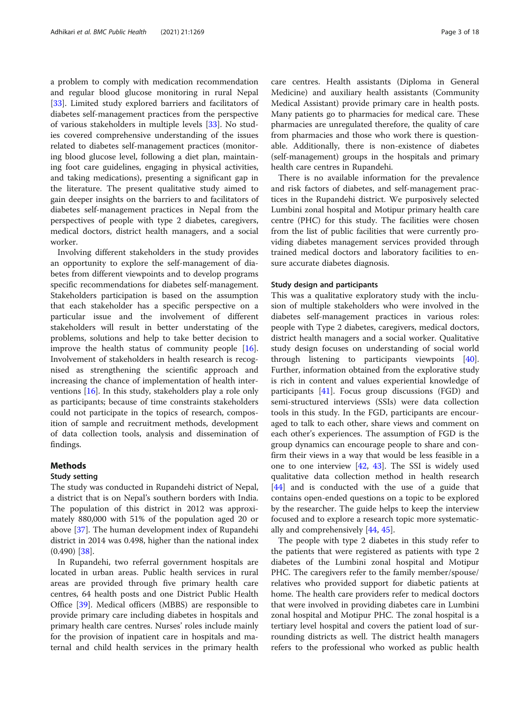a problem to comply with medication recommendation and regular blood glucose monitoring in rural Nepal [[33\]](#page-16-0). Limited study explored barriers and facilitators of diabetes self-management practices from the perspective of various stakeholders in multiple levels [\[33](#page-16-0)]. No studies covered comprehensive understanding of the issues related to diabetes self-management practices (monitoring blood glucose level, following a diet plan, maintaining foot care guidelines, engaging in physical activities, and taking medications), presenting a significant gap in the literature. The present qualitative study aimed to gain deeper insights on the barriers to and facilitators of diabetes self-management practices in Nepal from the perspectives of people with type 2 diabetes, caregivers, medical doctors, district health managers, and a social worker.

Involving different stakeholders in the study provides an opportunity to explore the self-management of diabetes from different viewpoints and to develop programs specific recommendations for diabetes self-management. Stakeholders participation is based on the assumption that each stakeholder has a specific perspective on a particular issue and the involvement of different stakeholders will result in better understating of the problems, solutions and help to take better decision to improve the health status of community people [\[16](#page-15-0)]. Involvement of stakeholders in health research is recognised as strengthening the scientific approach and increasing the chance of implementation of health interventions [\[16](#page-15-0)]. In this study, stakeholders play a role only as participants; because of time constraints stakeholders could not participate in the topics of research, composition of sample and recruitment methods, development of data collection tools, analysis and dissemination of findings.

#### Methods

#### Study setting

The study was conducted in Rupandehi district of Nepal, a district that is on Nepal's southern borders with India. The population of this district in 2012 was approximately 880,000 with 51% of the population aged 20 or above [\[37](#page-16-0)]. The human development index of Rupandehi district in 2014 was 0.498, higher than the national index  $(0.490)$  [[38\]](#page-16-0).

In Rupandehi, two referral government hospitals are located in urban areas. Public health services in rural areas are provided through five primary health care centres, 64 health posts and one District Public Health Office [[39\]](#page-16-0). Medical officers (MBBS) are responsible to provide primary care including diabetes in hospitals and primary health care centres. Nurses' roles include mainly for the provision of inpatient care in hospitals and maternal and child health services in the primary health

care centres. Health assistants (Diploma in General Medicine) and auxiliary health assistants (Community Medical Assistant) provide primary care in health posts. Many patients go to pharmacies for medical care. These pharmacies are unregulated therefore, the quality of care from pharmacies and those who work there is questionable. Additionally, there is non-existence of diabetes (self-management) groups in the hospitals and primary health care centres in Rupandehi.

There is no available information for the prevalence and risk factors of diabetes, and self-management practices in the Rupandehi district. We purposively selected Lumbini zonal hospital and Motipur primary health care centre (PHC) for this study. The facilities were chosen from the list of public facilities that were currently providing diabetes management services provided through trained medical doctors and laboratory facilities to ensure accurate diabetes diagnosis.

#### Study design and participants

This was a qualitative exploratory study with the inclusion of multiple stakeholders who were involved in the diabetes self-management practices in various roles: people with Type 2 diabetes, caregivers, medical doctors, district health managers and a social worker. Qualitative study design focuses on understanding of social world through listening to participants viewpoints [\[40](#page-16-0)]. Further, information obtained from the explorative study is rich in content and values experiential knowledge of participants [\[41](#page-16-0)]. Focus group discussions (FGD) and semi-structured interviews (SSIs) were data collection tools in this study. In the FGD, participants are encouraged to talk to each other, share views and comment on each other's experiences. The assumption of FGD is the group dynamics can encourage people to share and confirm their views in a way that would be less feasible in a one to one interview [[42](#page-16-0), [43\]](#page-16-0). The SSI is widely used qualitative data collection method in health research [[44\]](#page-16-0) and is conducted with the use of a guide that contains open-ended questions on a topic to be explored by the researcher. The guide helps to keep the interview focused and to explore a research topic more systematically and comprehensively [[44,](#page-16-0) [45\]](#page-16-0).

The people with type 2 diabetes in this study refer to the patients that were registered as patients with type 2 diabetes of the Lumbini zonal hospital and Motipur PHC. The caregivers refer to the family member/spouse/ relatives who provided support for diabetic patients at home. The health care providers refer to medical doctors that were involved in providing diabetes care in Lumbini zonal hospital and Motipur PHC. The zonal hospital is a tertiary level hospital and covers the patient load of surrounding districts as well. The district health managers refers to the professional who worked as public health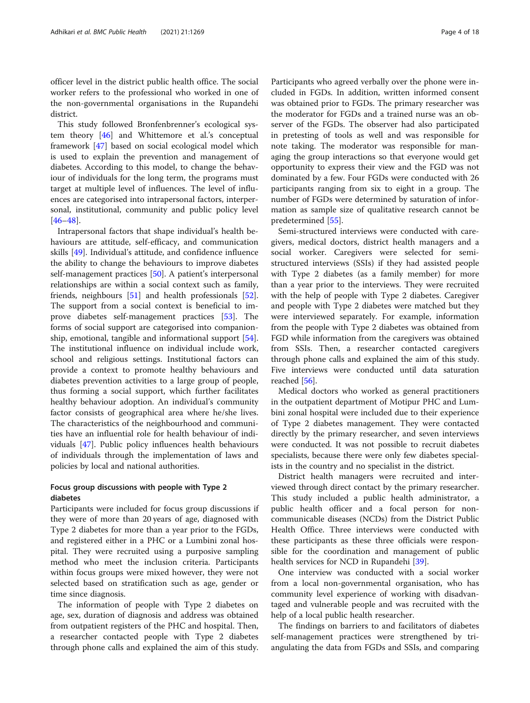officer level in the district public health office. The social worker refers to the professional who worked in one of the non-governmental organisations in the Rupandehi district.

This study followed Bronfenbrenner's ecological system theory [\[46](#page-16-0)] and Whittemore et al.'s conceptual framework [[47\]](#page-16-0) based on social ecological model which is used to explain the prevention and management of diabetes. According to this model, to change the behaviour of individuals for the long term, the programs must target at multiple level of influences. The level of influences are categorised into intrapersonal factors, interpersonal, institutional, community and public policy level [[46](#page-16-0)–[48](#page-16-0)].

Intrapersonal factors that shape individual's health behaviours are attitude, self-efficacy, and communication skills [\[49\]](#page-16-0). Individual's attitude, and confidence influence the ability to change the behaviours to improve diabetes self-management practices [[50](#page-16-0)]. A patient's interpersonal relationships are within a social context such as family, friends, neighbours [[51\]](#page-16-0) and health professionals [\[52](#page-16-0)]. The support from a social context is beneficial to improve diabetes self-management practices [[53](#page-16-0)]. The forms of social support are categorised into companionship, emotional, tangible and informational support [\[54](#page-16-0)]. The institutional influence on individual include work, school and religious settings. Institutional factors can provide a context to promote healthy behaviours and diabetes prevention activities to a large group of people, thus forming a social support, which further facilitates healthy behaviour adoption. An individual's community factor consists of geographical area where he/she lives. The characteristics of the neighbourhood and communities have an influential role for health behaviour of individuals [[47\]](#page-16-0). Public policy influences health behaviours of individuals through the implementation of laws and policies by local and national authorities.

#### Focus group discussions with people with Type 2 diabetes

Participants were included for focus group discussions if they were of more than 20 years of age, diagnosed with Type 2 diabetes for more than a year prior to the FGDs, and registered either in a PHC or a Lumbini zonal hospital. They were recruited using a purposive sampling method who meet the inclusion criteria. Participants within focus groups were mixed however, they were not selected based on stratification such as age, gender or time since diagnosis.

The information of people with Type 2 diabetes on age, sex, duration of diagnosis and address was obtained from outpatient registers of the PHC and hospital. Then, a researcher contacted people with Type 2 diabetes through phone calls and explained the aim of this study.

Participants who agreed verbally over the phone were included in FGDs. In addition, written informed consent was obtained prior to FGDs. The primary researcher was the moderator for FGDs and a trained nurse was an observer of the FGDs. The observer had also participated in pretesting of tools as well and was responsible for note taking. The moderator was responsible for managing the group interactions so that everyone would get opportunity to express their view and the FGD was not dominated by a few. Four FGDs were conducted with 26 participants ranging from six to eight in a group. The number of FGDs were determined by saturation of information as sample size of qualitative research cannot be

Semi-structured interviews were conducted with caregivers, medical doctors, district health managers and a social worker. Caregivers were selected for semistructured interviews (SSIs) if they had assisted people with Type 2 diabetes (as a family member) for more than a year prior to the interviews. They were recruited with the help of people with Type 2 diabetes. Caregiver and people with Type 2 diabetes were matched but they were interviewed separately. For example, information from the people with Type 2 diabetes was obtained from FGD while information from the caregivers was obtained from SSIs. Then, a researcher contacted caregivers through phone calls and explained the aim of this study. Five interviews were conducted until data saturation reached [[56](#page-16-0)].

predetermined [[55\]](#page-16-0).

Medical doctors who worked as general practitioners in the outpatient department of Motipur PHC and Lumbini zonal hospital were included due to their experience of Type 2 diabetes management. They were contacted directly by the primary researcher, and seven interviews were conducted. It was not possible to recruit diabetes specialists, because there were only few diabetes specialists in the country and no specialist in the district.

District health managers were recruited and interviewed through direct contact by the primary researcher. This study included a public health administrator, a public health officer and a focal person for noncommunicable diseases (NCDs) from the District Public Health Office. Three interviews were conducted with these participants as these three officials were responsible for the coordination and management of public health services for NCD in Rupandehi [[39\]](#page-16-0).

One interview was conducted with a social worker from a local non-governmental organisation, who has community level experience of working with disadvantaged and vulnerable people and was recruited with the help of a local public health researcher.

The findings on barriers to and facilitators of diabetes self-management practices were strengthened by triangulating the data from FGDs and SSIs, and comparing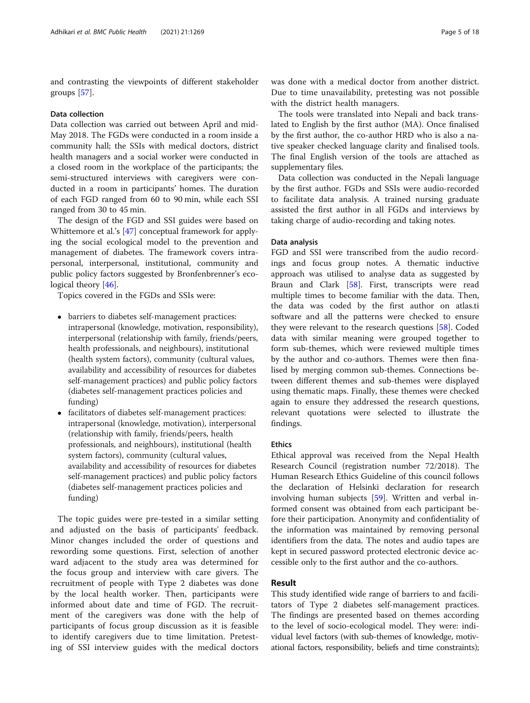and contrasting the viewpoints of different stakeholder groups [[57](#page-16-0)].

#### Data collection

Data collection was carried out between April and mid-May 2018. The FGDs were conducted in a room inside a community hall; the SSIs with medical doctors, district health managers and a social worker were conducted in a closed room in the workplace of the participants; the semi-structured interviews with caregivers were conducted in a room in participants' homes. The duration of each FGD ranged from 60 to 90 min, while each SSI ranged from 30 to 45 min.

The design of the FGD and SSI guides were based on Whittemore et al.'s [[47\]](#page-16-0) conceptual framework for applying the social ecological model to the prevention and management of diabetes. The framework covers intrapersonal, interpersonal, institutional, community and public policy factors suggested by Bronfenbrenner's eco-logical theory [\[46\]](#page-16-0).

Topics covered in the FGDs and SSIs were:

- barriers to diabetes self-management practices: intrapersonal (knowledge, motivation, responsibility), interpersonal (relationship with family, friends/peers, health professionals, and neighbours), institutional (health system factors), community (cultural values, availability and accessibility of resources for diabetes self-management practices) and public policy factors (diabetes self-management practices policies and funding)
- facilitators of diabetes self-management practices: intrapersonal (knowledge, motivation), interpersonal (relationship with family, friends/peers, health professionals, and neighbours), institutional (health system factors), community (cultural values, availability and accessibility of resources for diabetes self-management practices) and public policy factors (diabetes self-management practices policies and funding)

The topic guides were pre-tested in a similar setting and adjusted on the basis of participants' feedback. Minor changes included the order of questions and rewording some questions. First, selection of another ward adjacent to the study area was determined for the focus group and interview with care givers. The recruitment of people with Type 2 diabetes was done by the local health worker. Then, participants were informed about date and time of FGD. The recruitment of the caregivers was done with the help of participants of focus group discussion as it is feasible to identify caregivers due to time limitation. Pretesting of SSI interview guides with the medical doctors

was done with a medical doctor from another district. Due to time unavailability, pretesting was not possible with the district health managers.

The tools were translated into Nepali and back translated to English by the first author (MA). Once finalised by the first author, the co-author HRD who is also a native speaker checked language clarity and finalised tools. The final English version of the tools are attached as supplementary files.

Data collection was conducted in the Nepali language by the first author. FGDs and SSIs were audio-recorded to facilitate data analysis. A trained nursing graduate assisted the first author in all FGDs and interviews by taking charge of audio-recording and taking notes.

#### Data analysis

FGD and SSI were transcribed from the audio recordings and focus group notes. A thematic inductive approach was utilised to analyse data as suggested by Braun and Clark [\[58](#page-16-0)]. First, transcripts were read multiple times to become familiar with the data. Then, the data was coded by the first author on atlas.ti software and all the patterns were checked to ensure they were relevant to the research questions [[58](#page-16-0)]. Coded data with similar meaning were grouped together to form sub-themes, which were reviewed multiple times by the author and co-authors. Themes were then finalised by merging common sub-themes. Connections between different themes and sub-themes were displayed using thematic maps. Finally, these themes were checked again to ensure they addressed the research questions, relevant quotations were selected to illustrate the findings.

#### Ethics

Ethical approval was received from the Nepal Health Research Council (registration number 72/2018). The Human Research Ethics Guideline of this council follows the declaration of Helsinki declaration for research involving human subjects [[59](#page-16-0)]. Written and verbal informed consent was obtained from each participant before their participation. Anonymity and confidentiality of the information was maintained by removing personal identifiers from the data. The notes and audio tapes are kept in secured password protected electronic device accessible only to the first author and the co-authors.

#### Result

This study identified wide range of barriers to and facilitators of Type 2 diabetes self-management practices. The findings are presented based on themes according to the level of socio-ecological model. They were: individual level factors (with sub-themes of knowledge, motivational factors, responsibility, beliefs and time constraints);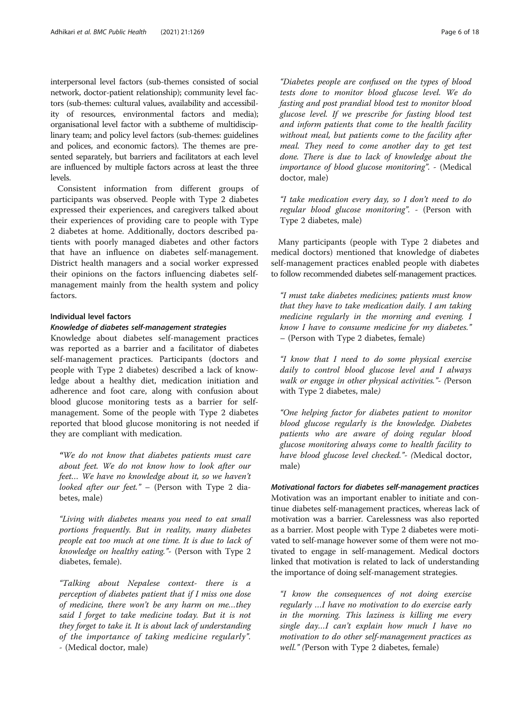interpersonal level factors (sub-themes consisted of social network, doctor-patient relationship); community level factors (sub-themes: cultural values, availability and accessibility of resources, environmental factors and media); organisational level factor with a subtheme of multidisciplinary team; and policy level factors (sub-themes: guidelines and polices, and economic factors). The themes are presented separately, but barriers and facilitators at each level are influenced by multiple factors across at least the three levels.

Consistent information from different groups of participants was observed. People with Type 2 diabetes expressed their experiences, and caregivers talked about their experiences of providing care to people with Type 2 diabetes at home. Additionally, doctors described patients with poorly managed diabetes and other factors that have an influence on diabetes self-management. District health managers and a social worker expressed their opinions on the factors influencing diabetes selfmanagement mainly from the health system and policy factors.

#### Individual level factors

#### Knowledge of diabetes self-management strategies

Knowledge about diabetes self-management practices was reported as a barrier and a facilitator of diabetes self-management practices. Participants (doctors and people with Type 2 diabetes) described a lack of knowledge about a healthy diet, medication initiation and adherence and foot care, along with confusion about blood glucose monitoring tests as a barrier for selfmanagement. Some of the people with Type 2 diabetes reported that blood glucose monitoring is not needed if they are compliant with medication.

"We do not know that diabetes patients must care about feet. We do not know how to look after our feet… We have no knowledge about it, so we haven't looked after our feet." - (Person with Type 2 diabetes, male)

"Living with diabetes means you need to eat small portions frequently. But in reality, many diabetes people eat too much at one time. It is due to lack of knowledge on healthy eating."- (Person with Type 2 diabetes, female).

"Talking about Nepalese context- there is a perception of diabetes patient that if I miss one dose of medicine, there won't be any harm on me…they said I forget to take medicine today. But it is not they forget to take it. It is about lack of understanding of the importance of taking medicine regularly". - (Medical doctor, male)

"Diabetes people are confused on the types of blood tests done to monitor blood glucose level. We do fasting and post prandial blood test to monitor blood glucose level. If we prescribe for fasting blood test and inform patients that come to the health facility without meal, but patients come to the facility after meal. They need to come another day to get test done. There is due to lack of knowledge about the importance of blood glucose monitoring". - (Medical doctor, male)

"I take medication every day, so I don't need to do regular blood glucose monitoring". - (Person with Type 2 diabetes, male)

Many participants (people with Type 2 diabetes and medical doctors) mentioned that knowledge of diabetes self-management practices enabled people with diabetes to follow recommended diabetes self-management practices.

"I must take diabetes medicines; patients must know that they have to take medication daily. I am taking medicine regularly in the morning and evening. I know I have to consume medicine for my diabetes." – (Person with Type 2 diabetes, female)

"I know that I need to do some physical exercise daily to control blood glucose level and I always walk or engage in other physical activities."- (Person with Type 2 diabetes, male)

"One helping factor for diabetes patient to monitor blood glucose regularly is the knowledge. Diabetes patients who are aware of doing regular blood glucose monitoring always come to health facility to have blood glucose level checked."- (Medical doctor, male)

Motivational factors for diabetes self-management practices Motivation was an important enabler to initiate and continue diabetes self-management practices, whereas lack of motivation was a barrier. Carelessness was also reported as a barrier. Most people with Type 2 diabetes were motivated to self-manage however some of them were not motivated to engage in self-management. Medical doctors linked that motivation is related to lack of understanding the importance of doing self-management strategies.

"I know the consequences of not doing exercise regularly …I have no motivation to do exercise early in the morning. This laziness is killing me every single day…I can't explain how much I have no motivation to do other self-management practices as well." (Person with Type 2 diabetes, female)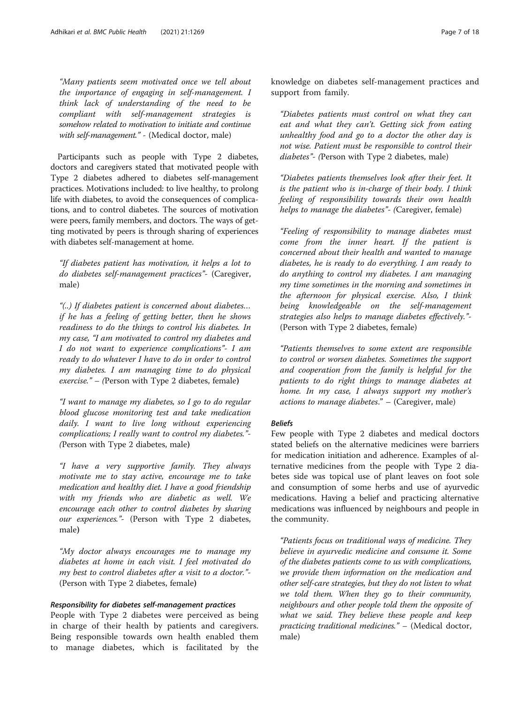"Many patients seem motivated once we tell about the importance of engaging in self-management. I think lack of understanding of the need to be compliant with self-management strategies is somehow related to motivation to initiate and continue with self-management." - (Medical doctor, male)

Participants such as people with Type 2 diabetes, doctors and caregivers stated that motivated people with Type 2 diabetes adhered to diabetes self-management practices. Motivations included: to live healthy, to prolong life with diabetes, to avoid the consequences of complications, and to control diabetes. The sources of motivation were peers, family members, and doctors. The ways of getting motivated by peers is through sharing of experiences with diabetes self-management at home.

"If diabetes patient has motivation, it helps a lot to do diabetes self-management practices"- (Caregiver, male)

"(..) If diabetes patient is concerned about diabetes… if he has a feeling of getting better, then he shows readiness to do the things to control his diabetes. In my case, "I am motivated to control my diabetes and I do not want to experience complications"- I am ready to do whatever I have to do in order to control my diabetes. I am managing time to do physical exercise." – (Person with Type 2 diabetes, female)

"I want to manage my diabetes, so I go to do regular blood glucose monitoring test and take medication daily. I want to live long without experiencing complications; I really want to control my diabetes."- (Person with Type 2 diabetes, male)

"I have a very supportive family. They always motivate me to stay active, encourage me to take medication and healthy diet. I have a good friendship with my friends who are diabetic as well. We encourage each other to control diabetes by sharing our experiences."- (Person with Type 2 diabetes, male)

"My doctor always encourages me to manage my diabetes at home in each visit. I feel motivated do my best to control diabetes after a visit to a doctor."- (Person with Type 2 diabetes, female)

#### Responsibility for diabetes self-management practices

People with Type 2 diabetes were perceived as being in charge of their health by patients and caregivers. Being responsible towards own health enabled them to manage diabetes, which is facilitated by the knowledge on diabetes self-management practices and support from family.

"Diabetes patients must control on what they can eat and what they can't. Getting sick from eating unhealthy food and go to a doctor the other day is not wise. Patient must be responsible to control their diabetes"- (Person with Type 2 diabetes, male)

"Diabetes patients themselves look after their feet. It is the patient who is in-charge of their body. I think feeling of responsibility towards their own health helps to manage the diabetes"- (Caregiver, female)

"Feeling of responsibility to manage diabetes must come from the inner heart. If the patient is concerned about their health and wanted to manage diabetes, he is ready to do everything. I am ready to do anything to control my diabetes. I am managing my time sometimes in the morning and sometimes in the afternoon for physical exercise. Also, I think being knowledgeable on the self-management strategies also helps to manage diabetes effectively."- (Person with Type 2 diabetes, female)

"Patients themselves to some extent are responsible to control or worsen diabetes. Sometimes the support and cooperation from the family is helpful for the patients to do right things to manage diabetes at home. In my case, I always support my mother's actions to manage diabetes." – (Caregiver, male)

#### Beliefs

Few people with Type 2 diabetes and medical doctors stated beliefs on the alternative medicines were barriers for medication initiation and adherence. Examples of alternative medicines from the people with Type 2 diabetes side was topical use of plant leaves on foot sole and consumption of some herbs and use of ayurvedic medications. Having a belief and practicing alternative medications was influenced by neighbours and people in the community.

"Patients focus on traditional ways of medicine. They believe in ayurvedic medicine and consume it. Some of the diabetes patients come to us with complications, we provide them information on the medication and other self-care strategies, but they do not listen to what we told them. When they go to their community, neighbours and other people told them the opposite of what we said. They believe these people and keep practicing traditional medicines." – (Medical doctor, male)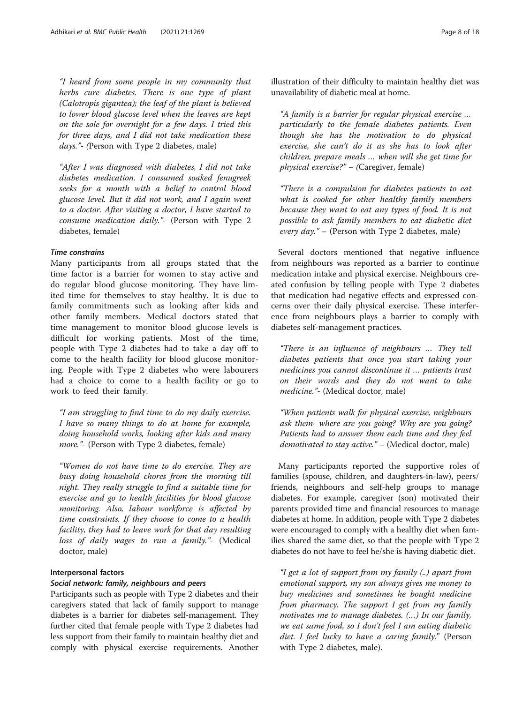"I heard from some people in my community that herbs cure diabetes. There is one type of plant (Calotropis gigantea); the leaf of the plant is believed to lower blood glucose level when the leaves are kept on the sole for overnight for a few days. I tried this for three days, and I did not take medication these days."- (Person with Type 2 diabetes, male)

"After I was diagnosed with diabetes, I did not take diabetes medication. I consumed soaked fenugreek seeks for a month with a belief to control blood glucose level. But it did not work, and I again went to a doctor. After visiting a doctor, I have started to consume medication daily."- (Person with Type 2 diabetes, female)

#### Time constrains

Many participants from all groups stated that the time factor is a barrier for women to stay active and do regular blood glucose monitoring. They have limited time for themselves to stay healthy. It is due to family commitments such as looking after kids and other family members. Medical doctors stated that time management to monitor blood glucose levels is difficult for working patients. Most of the time, people with Type 2 diabetes had to take a day off to come to the health facility for blood glucose monitoring. People with Type 2 diabetes who were labourers had a choice to come to a health facility or go to work to feed their family.

"I am struggling to find time to do my daily exercise. I have so many things to do at home for example, doing household works, looking after kids and many more."- (Person with Type 2 diabetes, female)

"Women do not have time to do exercise. They are busy doing household chores from the morning till night. They really struggle to find a suitable time for exercise and go to health facilities for blood glucose monitoring. Also, labour workforce is affected by time constraints. If they choose to come to a health facility, they had to leave work for that day resulting loss of daily wages to run a family."- (Medical doctor, male)

#### Interpersonal factors

#### Social network: family, neighbours and peers

Participants such as people with Type 2 diabetes and their caregivers stated that lack of family support to manage diabetes is a barrier for diabetes self-management. They further cited that female people with Type 2 diabetes had less support from their family to maintain healthy diet and comply with physical exercise requirements. Another illustration of their difficulty to maintain healthy diet was unavailability of diabetic meal at home.

"A family is a barrier for regular physical exercise … particularly to the female diabetes patients. Even though she has the motivation to do physical exercise, she can't do it as she has to look after children, prepare meals … when will she get time for physical exercise?" – (Caregiver, female)

"There is a compulsion for diabetes patients to eat what is cooked for other healthy family members because they want to eat any types of food. It is not possible to ask family members to eat diabetic diet every  $day.$ " – (Person with Type 2 diabetes, male)

Several doctors mentioned that negative influence from neighbours was reported as a barrier to continue medication intake and physical exercise. Neighbours created confusion by telling people with Type 2 diabetes that medication had negative effects and expressed concerns over their daily physical exercise. These interference from neighbours plays a barrier to comply with diabetes self-management practices.

"There is an influence of neighbours … They tell diabetes patients that once you start taking your medicines you cannot discontinue it … patients trust on their words and they do not want to take medicine."- (Medical doctor, male)

"When patients walk for physical exercise, neighbours ask them- where are you going? Why are you going? Patients had to answer them each time and they feel demotivated to stay active." – (Medical doctor, male)

Many participants reported the supportive roles of families (spouse, children, and daughters-in-law), peers/ friends, neighbours and self-help groups to manage diabetes. For example, caregiver (son) motivated their parents provided time and financial resources to manage diabetes at home. In addition, people with Type 2 diabetes were encouraged to comply with a healthy diet when families shared the same diet, so that the people with Type 2 diabetes do not have to feel he/she is having diabetic diet.

"I get a lot of support from my family (..) apart from emotional support, my son always gives me money to buy medicines and sometimes he bought medicine from pharmacy. The support I get from my family motivates me to manage diabetes. (…) In our family, we eat same food, so I don't feel I am eating diabetic diet. I feel lucky to have a caring family." (Person with Type 2 diabetes, male).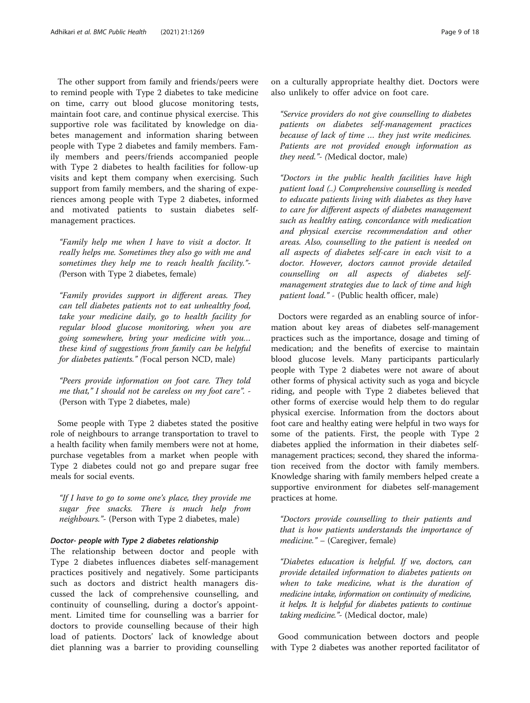The other support from family and friends/peers were to remind people with Type 2 diabetes to take medicine on time, carry out blood glucose monitoring tests, maintain foot care, and continue physical exercise. This supportive role was facilitated by knowledge on diabetes management and information sharing between people with Type 2 diabetes and family members. Family members and peers/friends accompanied people with Type 2 diabetes to health facilities for follow-up visits and kept them company when exercising. Such support from family members, and the sharing of experiences among people with Type 2 diabetes, informed and motivated patients to sustain diabetes selfmanagement practices.

"Family help me when I have to visit a doctor. It really helps me. Sometimes they also go with me and sometimes they help me to reach health facility."- (Person with Type 2 diabetes, female)

"Family provides support in different areas. They can tell diabetes patients not to eat unhealthy food, take your medicine daily, go to health facility for regular blood glucose monitoring, when you are going somewhere, bring your medicine with you… these kind of suggestions from family can be helpful for diabetes patients." (Focal person NCD, male)

"Peers provide information on foot care. They told me that," I should not be careless on my foot care". - (Person with Type 2 diabetes, male)

Some people with Type 2 diabetes stated the positive role of neighbours to arrange transportation to travel to a health facility when family members were not at home, purchase vegetables from a market when people with Type 2 diabetes could not go and prepare sugar free meals for social events.

"If I have to go to some one's place, they provide me sugar free snacks. There is much help from neighbours."- (Person with Type 2 diabetes, male)

#### Doctor- people with Type 2 diabetes relationship

The relationship between doctor and people with Type 2 diabetes influences diabetes self-management practices positively and negatively. Some participants such as doctors and district health managers discussed the lack of comprehensive counselling, and continuity of counselling, during a doctor's appointment. Limited time for counselling was a barrier for doctors to provide counselling because of their high load of patients. Doctors' lack of knowledge about diet planning was a barrier to providing counselling on a culturally appropriate healthy diet. Doctors were also unlikely to offer advice on foot care.

"Service providers do not give counselling to diabetes patients on diabetes self-management practices because of lack of time … they just write medicines. Patients are not provided enough information as they need."- (Medical doctor, male)

"Doctors in the public health facilities have high patient load (..) Comprehensive counselling is needed to educate patients living with diabetes as they have to care for different aspects of diabetes management such as healthy eating, concordance with medication and physical exercise recommendation and other areas. Also, counselling to the patient is needed on all aspects of diabetes self-care in each visit to a doctor. However, doctors cannot provide detailed counselling on all aspects of diabetes selfmanagement strategies due to lack of time and high patient load." - (Public health officer, male)

Doctors were regarded as an enabling source of information about key areas of diabetes self-management practices such as the importance, dosage and timing of medication; and the benefits of exercise to maintain blood glucose levels. Many participants particularly people with Type 2 diabetes were not aware of about other forms of physical activity such as yoga and bicycle riding, and people with Type 2 diabetes believed that other forms of exercise would help them to do regular physical exercise. Information from the doctors about foot care and healthy eating were helpful in two ways for some of the patients. First, the people with Type 2 diabetes applied the information in their diabetes selfmanagement practices; second, they shared the information received from the doctor with family members. Knowledge sharing with family members helped create a supportive environment for diabetes self-management practices at home.

"Doctors provide counselling to their patients and that is how patients understands the importance of medicine." – (Caregiver, female)

"Diabetes education is helpful. If we, doctors, can provide detailed information to diabetes patients on when to take medicine, what is the duration of medicine intake, information on continuity of medicine, it helps. It is helpful for diabetes patients to continue taking medicine."- (Medical doctor, male)

Good communication between doctors and people with Type 2 diabetes was another reported facilitator of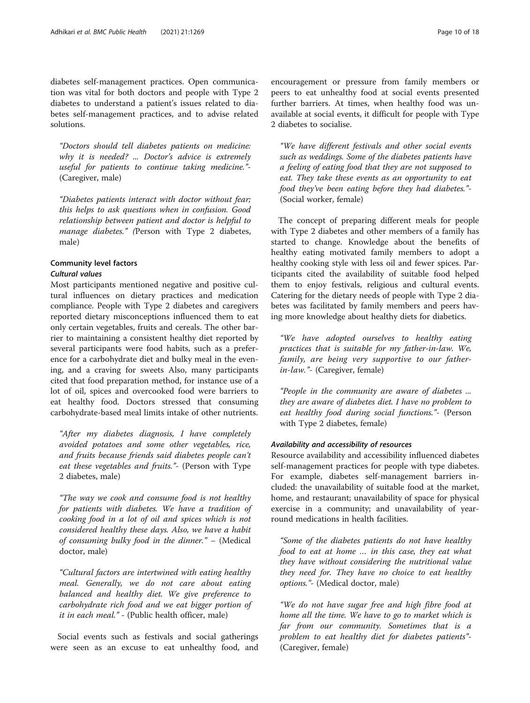diabetes self-management practices. Open communication was vital for both doctors and people with Type 2 diabetes to understand a patient's issues related to diabetes self-management practices, and to advise related solutions.

"Doctors should tell diabetes patients on medicine: why it is needed? ... Doctor's advice is extremely useful for patients to continue taking medicine."- (Caregiver, male)

"Diabetes patients interact with doctor without fear; this helps to ask questions when in confusion. Good relationship between patient and doctor is helpful to manage diabetes." (Person with Type 2 diabetes, male)

#### Community level factors Cultural values

Most participants mentioned negative and positive cultural influences on dietary practices and medication compliance. People with Type 2 diabetes and caregivers reported dietary misconceptions influenced them to eat only certain vegetables, fruits and cereals. The other barrier to maintaining a consistent healthy diet reported by several participants were food habits, such as a preference for a carbohydrate diet and bulky meal in the evening, and a craving for sweets Also, many participants cited that food preparation method, for instance use of a lot of oil, spices and overcooked food were barriers to eat healthy food. Doctors stressed that consuming carbohydrate-based meal limits intake of other nutrients.

"After my diabetes diagnosis, I have completely avoided potatoes and some other vegetables, rice, and fruits because friends said diabetes people can't eat these vegetables and fruits."- (Person with Type 2 diabetes, male)

"The way we cook and consume food is not healthy for patients with diabetes. We have a tradition of cooking food in a lot of oil and spices which is not considered healthy these days. Also, we have a habit of consuming bulky food in the dinner." – (Medical doctor, male)

"Cultural factors are intertwined with eating healthy meal. Generally, we do not care about eating balanced and healthy diet. We give preference to carbohydrate rich food and we eat bigger portion of it in each meal." - (Public health officer, male)

Social events such as festivals and social gatherings were seen as an excuse to eat unhealthy food, and encouragement or pressure from family members or peers to eat unhealthy food at social events presented further barriers. At times, when healthy food was unavailable at social events, it difficult for people with Type 2 diabetes to socialise.

"We have different festivals and other social events such as weddings. Some of the diabetes patients have a feeling of eating food that they are not supposed to eat. They take these events as an opportunity to eat food they've been eating before they had diabetes."- (Social worker, female)

The concept of preparing different meals for people with Type 2 diabetes and other members of a family has started to change. Knowledge about the benefits of healthy eating motivated family members to adopt a healthy cooking style with less oil and fewer spices. Participants cited the availability of suitable food helped them to enjoy festivals, religious and cultural events. Catering for the dietary needs of people with Type 2 diabetes was facilitated by family members and peers having more knowledge about healthy diets for diabetics.

"We have adopted ourselves to healthy eating practices that is suitable for my father-in-law. We, family, are being very supportive to our fatherin-law."- (Caregiver, female)

"People in the community are aware of diabetes ... they are aware of diabetes diet. I have no problem to eat healthy food during social functions."- (Person with Type 2 diabetes, female)

#### Availability and accessibility of resources

Resource availability and accessibility influenced diabetes self-management practices for people with type diabetes. For example, diabetes self-management barriers included: the unavailability of suitable food at the market, home, and restaurant; unavailability of space for physical exercise in a community; and unavailability of yearround medications in health facilities.

"Some of the diabetes patients do not have healthy food to eat at home … in this case, they eat what they have without considering the nutritional value they need for. They have no choice to eat healthy options."- (Medical doctor, male)

"We do not have sugar free and high fibre food at home all the time. We have to go to market which is far from our community. Sometimes that is a problem to eat healthy diet for diabetes patients"- (Caregiver, female)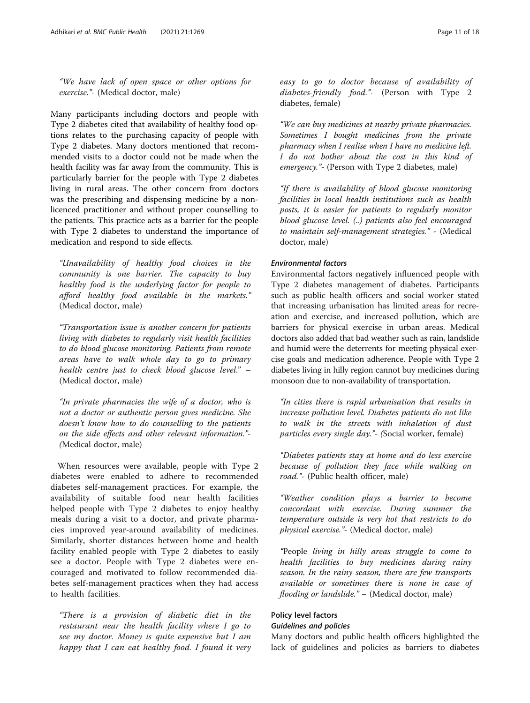"We have lack of open space or other options for exercise."- (Medical doctor, male)

Many participants including doctors and people with Type 2 diabetes cited that availability of healthy food options relates to the purchasing capacity of people with Type 2 diabetes. Many doctors mentioned that recommended visits to a doctor could not be made when the health facility was far away from the community. This is particularly barrier for the people with Type 2 diabetes living in rural areas. The other concern from doctors was the prescribing and dispensing medicine by a nonlicenced practitioner and without proper counselling to the patients. This practice acts as a barrier for the people with Type 2 diabetes to understand the importance of medication and respond to side effects.

"Unavailability of healthy food choices in the community is one barrier. The capacity to buy healthy food is the underlying factor for people to afford healthy food available in the markets." (Medical doctor, male)

"Transportation issue is another concern for patients living with diabetes to regularly visit health facilities to do blood glucose monitoring. Patients from remote areas have to walk whole day to go to primary health centre just to check blood glucose level." – (Medical doctor, male)

"In private pharmacies the wife of a doctor, who is not a doctor or authentic person gives medicine. She doesn't know how to do counselling to the patients on the side effects and other relevant information."- (Medical doctor, male)

When resources were available, people with Type 2 diabetes were enabled to adhere to recommended diabetes self-management practices. For example, the availability of suitable food near health facilities helped people with Type 2 diabetes to enjoy healthy meals during a visit to a doctor, and private pharmacies improved year-around availability of medicines. Similarly, shorter distances between home and health facility enabled people with Type 2 diabetes to easily see a doctor. People with Type 2 diabetes were encouraged and motivated to follow recommended diabetes self-management practices when they had access to health facilities.

"There is a provision of diabetic diet in the restaurant near the health facility where I go to see my doctor. Money is quite expensive but I am happy that I can eat healthy food. I found it very easy to go to doctor because of availability of diabetes-friendly food."- (Person with Type 2 diabetes, female)

"We can buy medicines at nearby private pharmacies. Sometimes I bought medicines from the private pharmacy when I realise when I have no medicine left. I do not bother about the cost in this kind of emergency."- (Person with Type 2 diabetes, male)

"If there is availability of blood glucose monitoring facilities in local health institutions such as health posts, it is easier for patients to regularly monitor blood glucose level. (..) patients also feel encouraged to maintain self-management strategies." - (Medical doctor, male)

#### Environmental factors

Environmental factors negatively influenced people with Type 2 diabetes management of diabetes. Participants such as public health officers and social worker stated that increasing urbanisation has limited areas for recreation and exercise, and increased pollution, which are barriers for physical exercise in urban areas. Medical doctors also added that bad weather such as rain, landslide and humid were the deterrents for meeting physical exercise goals and medication adherence. People with Type 2 diabetes living in hilly region cannot buy medicines during monsoon due to non-availability of transportation.

"In cities there is rapid urbanisation that results in increase pollution level. Diabetes patients do not like to walk in the streets with inhalation of dust particles every single day."- (Social worker, female)

"Diabetes patients stay at home and do less exercise because of pollution they face while walking on road."- (Public health officer, male)

"Weather condition plays a barrier to become concordant with exercise. During summer the temperature outside is very hot that restricts to do physical exercise."- (Medical doctor, male)

"People living in hilly areas struggle to come to health facilities to buy medicines during rainy season. In the rainy season, there are few transports available or sometimes there is none in case of flooding or landslide." - (Medical doctor, male)

#### Policy level factors

#### Guidelines and policies

Many doctors and public health officers highlighted the lack of guidelines and policies as barriers to diabetes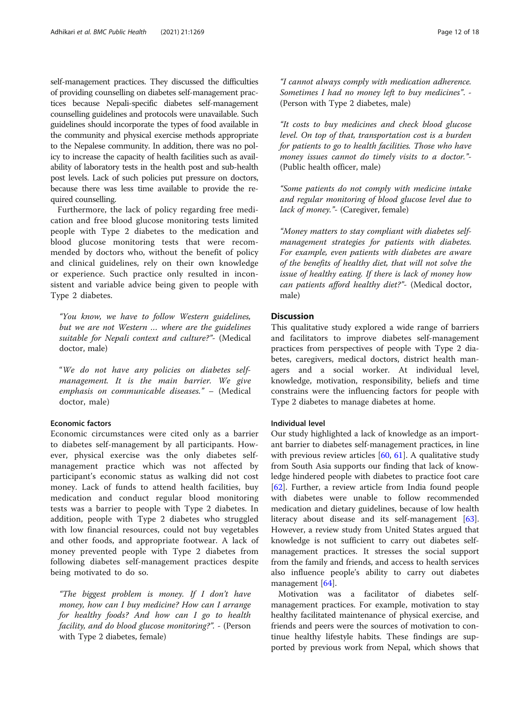self-management practices. They discussed the difficulties of providing counselling on diabetes self-management practices because Nepali-specific diabetes self-management counselling guidelines and protocols were unavailable. Such guidelines should incorporate the types of food available in the community and physical exercise methods appropriate to the Nepalese community. In addition, there was no policy to increase the capacity of health facilities such as availability of laboratory tests in the health post and sub-health post levels. Lack of such policies put pressure on doctors, because there was less time available to provide the required counselling.

Furthermore, the lack of policy regarding free medication and free blood glucose monitoring tests limited people with Type 2 diabetes to the medication and blood glucose monitoring tests that were recommended by doctors who, without the benefit of policy and clinical guidelines, rely on their own knowledge or experience. Such practice only resulted in inconsistent and variable advice being given to people with Type 2 diabetes.

"You know, we have to follow Western guidelines, but we are not Western … where are the guidelines suitable for Nepali context and culture?"- (Medical doctor, male)

"We do not have any policies on diabetes selfmanagement. It is the main barrier. We give emphasis on communicable diseases." – (Medical doctor, male)

#### Economic factors

Economic circumstances were cited only as a barrier to diabetes self-management by all participants. However, physical exercise was the only diabetes selfmanagement practice which was not affected by participant's economic status as walking did not cost money. Lack of funds to attend health facilities, buy medication and conduct regular blood monitoring tests was a barrier to people with Type 2 diabetes. In addition, people with Type 2 diabetes who struggled with low financial resources, could not buy vegetables and other foods, and appropriate footwear. A lack of money prevented people with Type 2 diabetes from following diabetes self-management practices despite being motivated to do so.

"The biggest problem is money. If I don't have money, how can I buy medicine? How can I arrange for healthy foods? And how can I go to health facility, and do blood glucose monitoring?". - (Person with Type 2 diabetes, female)

"I cannot always comply with medication adherence. Sometimes I had no money left to buy medicines". - (Person with Type 2 diabetes, male)

"It costs to buy medicines and check blood glucose level. On top of that, transportation cost is a burden for patients to go to health facilities. Those who have money issues cannot do timely visits to a doctor."- (Public health officer, male)

"Some patients do not comply with medicine intake and regular monitoring of blood glucose level due to lack of money."- (Caregiver, female)

"Money matters to stay compliant with diabetes selfmanagement strategies for patients with diabetes. For example, even patients with diabetes are aware of the benefits of healthy diet, that will not solve the issue of healthy eating. If there is lack of money how can patients afford healthy diet?"- (Medical doctor, male)

#### **Discussion**

This qualitative study explored a wide range of barriers and facilitators to improve diabetes self-management practices from perspectives of people with Type 2 diabetes, caregivers, medical doctors, district health managers and a social worker. At individual level, knowledge, motivation, responsibility, beliefs and time constrains were the influencing factors for people with Type 2 diabetes to manage diabetes at home.

#### Individual level

Our study highlighted a lack of knowledge as an important barrier to diabetes self-management practices, in line with previous review articles [\[60,](#page-16-0) [61\]](#page-16-0). A qualitative study from South Asia supports our finding that lack of knowledge hindered people with diabetes to practice foot care [[62\]](#page-16-0). Further, a review article from India found people with diabetes were unable to follow recommended medication and dietary guidelines, because of low health literacy about disease and its self-management [\[63](#page-16-0)]. However, a review study from United States argued that knowledge is not sufficient to carry out diabetes selfmanagement practices. It stresses the social support from the family and friends, and access to health services also influence people's ability to carry out diabetes management [[64](#page-16-0)].

Motivation was a facilitator of diabetes selfmanagement practices. For example, motivation to stay healthy facilitated maintenance of physical exercise, and friends and peers were the sources of motivation to continue healthy lifestyle habits. These findings are supported by previous work from Nepal, which shows that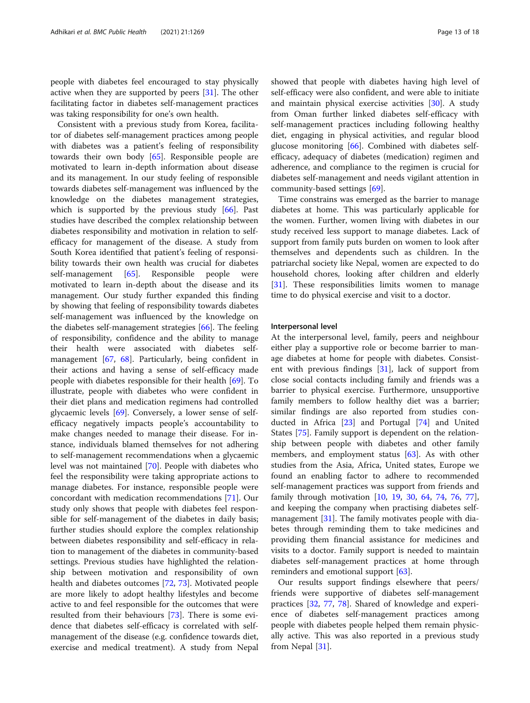people with diabetes feel encouraged to stay physically active when they are supported by peers [[31\]](#page-16-0). The other facilitating factor in diabetes self-management practices was taking responsibility for one's own health.

Consistent with a previous study from Korea, facilitator of diabetes self-management practices among people with diabetes was a patient's feeling of responsibility towards their own body [[65\]](#page-16-0). Responsible people are motivated to learn in-depth information about disease and its management. In our study feeling of responsible towards diabetes self-management was influenced by the knowledge on the diabetes management strategies, which is supported by the previous study [[66](#page-16-0)]. Past studies have described the complex relationship between diabetes responsibility and motivation in relation to selfefficacy for management of the disease. A study from South Korea identified that patient's feeling of responsibility towards their own health was crucial for diabetes self-management [\[65](#page-16-0)]. Responsible people were motivated to learn in-depth about the disease and its management. Our study further expanded this finding by showing that feeling of responsibility towards diabetes self-management was influenced by the knowledge on the diabetes self-management strategies [\[66\]](#page-16-0). The feeling of responsibility, confidence and the ability to manage their health were associated with diabetes selfmanagement [\[67,](#page-16-0) [68](#page-16-0)]. Particularly, being confident in their actions and having a sense of self-efficacy made people with diabetes responsible for their health [[69\]](#page-16-0). To illustrate, people with diabetes who were confident in their diet plans and medication regimens had controlled glycaemic levels [\[69\]](#page-16-0). Conversely, a lower sense of selfefficacy negatively impacts people's accountability to make changes needed to manage their disease. For instance, individuals blamed themselves for not adhering to self-management recommendations when a glycaemic level was not maintained [\[70](#page-16-0)]. People with diabetes who feel the responsibility were taking appropriate actions to manage diabetes. For instance, responsible people were concordant with medication recommendations [[71](#page-16-0)]. Our study only shows that people with diabetes feel responsible for self-management of the diabetes in daily basis; further studies should explore the complex relationship between diabetes responsibility and self-efficacy in relation to management of the diabetes in community-based settings. Previous studies have highlighted the relationship between motivation and responsibility of own health and diabetes outcomes [\[72](#page-16-0), [73](#page-16-0)]. Motivated people are more likely to adopt healthy lifestyles and become active to and feel responsible for the outcomes that were resulted from their behaviours [[73\]](#page-16-0). There is some evidence that diabetes self-efficacy is correlated with selfmanagement of the disease (e.g. confidence towards diet, exercise and medical treatment). A study from Nepal showed that people with diabetes having high level of self-efficacy were also confident, and were able to initiate and maintain physical exercise activities [[30](#page-16-0)]. A study from Oman further linked diabetes self-efficacy with self-management practices including following healthy diet, engaging in physical activities, and regular blood glucose monitoring [[66](#page-16-0)]. Combined with diabetes selfefficacy, adequacy of diabetes (medication) regimen and adherence, and compliance to the regimen is crucial for diabetes self-management and needs vigilant attention in community-based settings [[69\]](#page-16-0).

Time constrains was emerged as the barrier to manage diabetes at home. This was particularly applicable for the women. Further, women living with diabetes in our study received less support to manage diabetes. Lack of support from family puts burden on women to look after themselves and dependents such as children. In the patriarchal society like Nepal, women are expected to do household chores, looking after children and elderly [[31\]](#page-16-0). These responsibilities limits women to manage time to do physical exercise and visit to a doctor.

#### Interpersonal level

At the interpersonal level, family, peers and neighbour either play a supportive role or become barrier to manage diabetes at home for people with diabetes. Consistent with previous findings [[31\]](#page-16-0), lack of support from close social contacts including family and friends was a barrier to physical exercise. Furthermore, unsupportive family members to follow healthy diet was a barrier; similar findings are also reported from studies conducted in Africa [[23](#page-15-0)] and Portugal [\[74](#page-16-0)] and United States [[75\]](#page-17-0). Family support is dependent on the relationship between people with diabetes and other family members, and employment status [[63\]](#page-16-0). As with other studies from the Asia, Africa, United states, Europe we found an enabling factor to adhere to recommended self-management practices was support from friends and family through motivation [[10](#page-15-0), [19](#page-15-0), [30,](#page-16-0) [64](#page-16-0), [74,](#page-16-0) [76,](#page-17-0) [77](#page-17-0)], and keeping the company when practising diabetes selfmanagement [[31](#page-16-0)]. The family motivates people with diabetes through reminding them to take medicines and providing them financial assistance for medicines and visits to a doctor. Family support is needed to maintain diabetes self-management practices at home through reminders and emotional support [\[63](#page-16-0)].

Our results support findings elsewhere that peers/ friends were supportive of diabetes self-management practices [[32,](#page-16-0) [77,](#page-17-0) [78\]](#page-17-0). Shared of knowledge and experience of diabetes self-management practices among people with diabetes people helped them remain physically active. This was also reported in a previous study from Nepal [[31](#page-16-0)].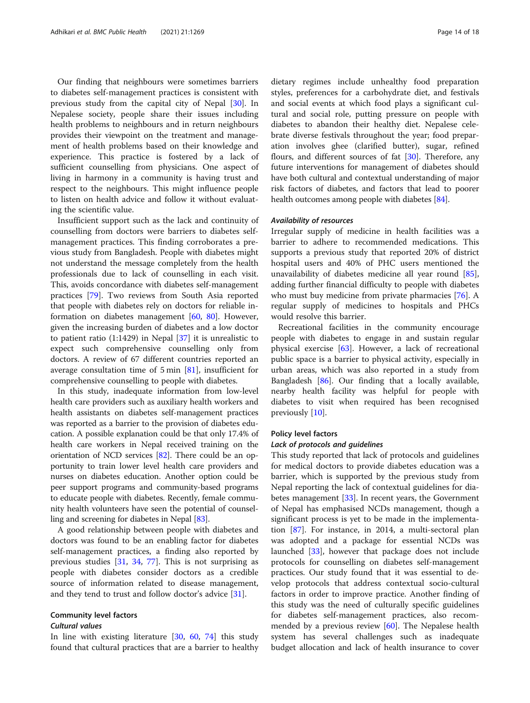Our finding that neighbours were sometimes barriers to diabetes self-management practices is consistent with previous study from the capital city of Nepal [[30\]](#page-16-0). In Nepalese society, people share their issues including health problems to neighbours and in return neighbours provides their viewpoint on the treatment and management of health problems based on their knowledge and experience. This practice is fostered by a lack of sufficient counselling from physicians. One aspect of living in harmony in a community is having trust and respect to the neighbours. This might influence people to listen on health advice and follow it without evaluating the scientific value.

Insufficient support such as the lack and continuity of counselling from doctors were barriers to diabetes selfmanagement practices. This finding corroborates a previous study from Bangladesh. People with diabetes might not understand the message completely from the health professionals due to lack of counselling in each visit. This, avoids concordance with diabetes self-management practices [[79\]](#page-17-0). Two reviews from South Asia reported that people with diabetes rely on doctors for reliable information on diabetes management [\[60](#page-16-0), [80\]](#page-17-0). However, given the increasing burden of diabetes and a low doctor to patient ratio (1:1429) in Nepal [\[37\]](#page-16-0) it is unrealistic to expect such comprehensive counselling only from doctors. A review of 67 different countries reported an average consultation time of 5 min [\[81](#page-17-0)], insufficient for comprehensive counselling to people with diabetes.

In this study, inadequate information from low-level health care providers such as auxiliary health workers and health assistants on diabetes self-management practices was reported as a barrier to the provision of diabetes education. A possible explanation could be that only 17.4% of health care workers in Nepal received training on the orientation of NCD services [\[82\]](#page-17-0). There could be an opportunity to train lower level health care providers and nurses on diabetes education. Another option could be peer support programs and community-based programs to educate people with diabetes. Recently, female community health volunteers have seen the potential of counselling and screening for diabetes in Nepal [\[83\]](#page-17-0).

A good relationship between people with diabetes and doctors was found to be an enabling factor for diabetes self-management practices, a finding also reported by previous studies [[31,](#page-16-0) [34](#page-16-0), [77\]](#page-17-0). This is not surprising as people with diabetes consider doctors as a credible source of information related to disease management, and they tend to trust and follow doctor's advice [\[31](#page-16-0)].

#### Community level factors

#### Cultural values

In line with existing literature [\[30,](#page-16-0) [60](#page-16-0), [74](#page-16-0)] this study found that cultural practices that are a barrier to healthy dietary regimes include unhealthy food preparation styles, preferences for a carbohydrate diet, and festivals and social events at which food plays a significant cultural and social role, putting pressure on people with diabetes to abandon their healthy diet. Nepalese celebrate diverse festivals throughout the year; food preparation involves ghee (clarified butter), sugar, refined flours, and different sources of fat [[30\]](#page-16-0). Therefore, any future interventions for management of diabetes should have both cultural and contextual understanding of major risk factors of diabetes, and factors that lead to poorer health outcomes among people with diabetes [[84](#page-17-0)].

#### Availability of resources

Irregular supply of medicine in health facilities was a barrier to adhere to recommended medications. This supports a previous study that reported 20% of district hospital users and 40% of PHC users mentioned the unavailability of diabetes medicine all year round [\[85](#page-17-0)], adding further financial difficulty to people with diabetes who must buy medicine from private pharmacies [\[76](#page-17-0)]. A regular supply of medicines to hospitals and PHCs would resolve this barrier.

Recreational facilities in the community encourage people with diabetes to engage in and sustain regular physical exercise [[63\]](#page-16-0). However, a lack of recreational public space is a barrier to physical activity, especially in urban areas, which was also reported in a study from Bangladesh [[86\]](#page-17-0). Our finding that a locally available, nearby health facility was helpful for people with diabetes to visit when required has been recognised previously [\[10](#page-15-0)].

#### Policy level factors

#### Lack of protocols and guidelines

This study reported that lack of protocols and guidelines for medical doctors to provide diabetes education was a barrier, which is supported by the previous study from Nepal reporting the lack of contextual guidelines for diabetes management [\[33](#page-16-0)]. In recent years, the Government of Nepal has emphasised NCDs management, though a significant process is yet to be made in the implementation [\[87](#page-17-0)]. For instance, in 2014, a multi-sectoral plan was adopted and a package for essential NCDs was launched [[33\]](#page-16-0), however that package does not include protocols for counselling on diabetes self-management practices. Our study found that it was essential to develop protocols that address contextual socio-cultural factors in order to improve practice. Another finding of this study was the need of culturally specific guidelines for diabetes self-management practices, also recommended by a previous review [\[60](#page-16-0)]. The Nepalese health system has several challenges such as inadequate budget allocation and lack of health insurance to cover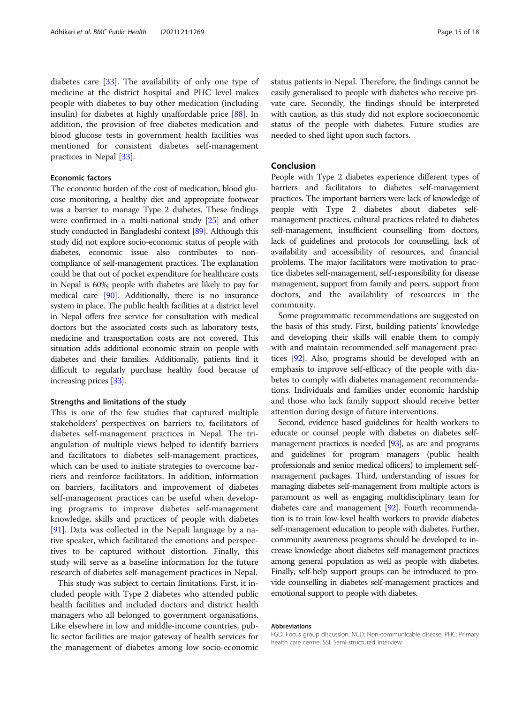diabetes care [[33\]](#page-16-0). The availability of only one type of medicine at the district hospital and PHC level makes people with diabetes to buy other medication (including insulin) for diabetes at highly unaffordable price [\[88](#page-17-0)]. In addition, the provision of free diabetes medication and blood glucose tests in government health facilities was mentioned for consistent diabetes self-management practices in Nepal [[33](#page-16-0)].

#### Economic factors

The economic burden of the cost of medication, blood glucose monitoring, a healthy diet and appropriate footwear was a barrier to manage Type 2 diabetes. These findings were confirmed in a multi-national study [[25](#page-15-0)] and other study conducted in Bangladeshi context [\[89\]](#page-17-0). Although this study did not explore socio-economic status of people with diabetes, economic issue also contributes to noncompliance of self-management practices. The explanation could be that out of pocket expenditure for healthcare costs in Nepal is 60%; people with diabetes are likely to pay for medical care [\[90\]](#page-17-0). Additionally, there is no insurance system in place. The public health facilities at a district level in Nepal offers free service for consultation with medical doctors but the associated costs such as laboratory tests, medicine and transportation costs are not covered. This situation adds additional economic strain on people with diabetes and their families. Additionally, patients find it difficult to regularly purchase healthy food because of increasing prices [\[33\]](#page-16-0).

#### Strengths and limitations of the study

This is one of the few studies that captured multiple stakeholders' perspectives on barriers to, facilitators of diabetes self-management practices in Nepal. The triangulation of multiple views helped to identify barriers and facilitators to diabetes self-management practices, which can be used to initiate strategies to overcome barriers and reinforce facilitators. In addition, information on barriers, facilitators and improvement of diabetes self-management practices can be useful when developing programs to improve diabetes self-management knowledge, skills and practices of people with diabetes [[91\]](#page-17-0). Data was collected in the Nepali language by a native speaker, which facilitated the emotions and perspectives to be captured without distortion. Finally, this study will serve as a baseline information for the future research of diabetes self-management practices in Nepal.

This study was subject to certain limitations. First, it included people with Type 2 diabetes who attended public health facilities and included doctors and district health managers who all belonged to government organisations. Like elsewhere in low and middle-income countries, public sector facilities are major gateway of health services for the management of diabetes among low socio-economic status patients in Nepal. Therefore, the findings cannot be easily generalised to people with diabetes who receive private care. Secondly, the findings should be interpreted with caution, as this study did not explore socioeconomic status of the people with diabetes. Future studies are needed to shed light upon such factors.

#### Conclusion

People with Type 2 diabetes experience different types of barriers and facilitators to diabetes self-management practices. The important barriers were lack of knowledge of people with Type 2 diabetes about diabetes selfmanagement practices, cultural practices related to diabetes self-management, insufficient counselling from doctors, lack of guidelines and protocols for counselling, lack of availability and accessibility of resources, and financial problems. The major facilitators were motivation to practice diabetes self-management, self-responsibility for disease management, support from family and peers, support from doctors, and the availability of resources in the community.

Some programmatic recommendations are suggested on the basis of this study. First, building patients' knowledge and developing their skills will enable them to comply with and maintain recommended self-management practices [\[92\]](#page-17-0). Also, programs should be developed with an emphasis to improve self-efficacy of the people with diabetes to comply with diabetes management recommendations. Individuals and families under economic hardship and those who lack family support should receive better attention during design of future interventions.

Second, evidence based guidelines for health workers to educate or counsel people with diabetes on diabetes selfmanagement practices is needed [\[93\]](#page-17-0), as are and programs and guidelines for program managers (public health professionals and senior medical officers) to implement selfmanagement packages. Third, understanding of issues for managing diabetes self-management from multiple actors is paramount as well as engaging multidisciplinary team for diabetes care and management [[92\]](#page-17-0). Fourth recommendation is to train low-level health workers to provide diabetes self-management education to people with diabetes. Further, community awareness programs should be developed to increase knowledge about diabetes self-management practices among general population as well as people with diabetes. Finally, self-help support groups can be introduced to provide counselling in diabetes self-management practices and emotional support to people with diabetes.

#### Abbreviations

FGD: Focus group discussion; NCD: Non-communicable disease; PHC: Primary health care centre; SSI: Semi-structured interview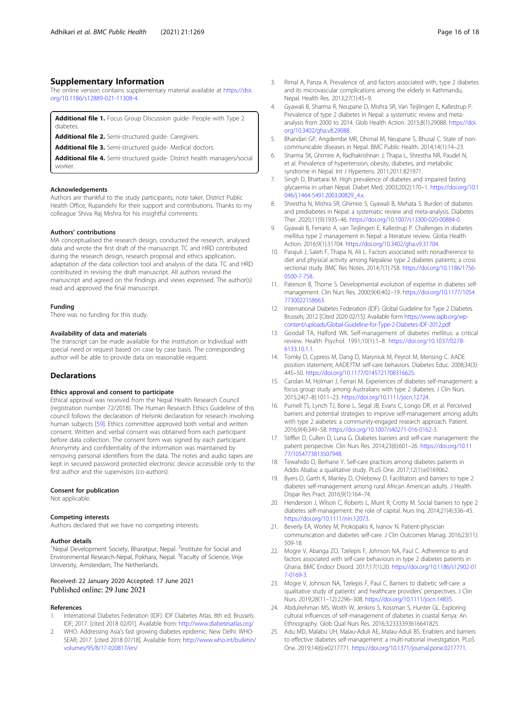#### <span id="page-15-0"></span>Supplementary Information

The online version contains supplementary material available at [https://doi.](https://doi.org/10.1186/s12889-021-11308-4) [org/10.1186/s12889-021-11308-4.](https://doi.org/10.1186/s12889-021-11308-4)

Additional file 1. Focus Group Discussion guide- People with Type 2 diabetes.

Additional file 2. Semi-structured guide- Caregivers.

Additional file 3. Semi-structured quide- Medical doctors.

Additional file 4. Semi-structured guide- District health managers/social worker.

#### Acknowledgements

Authors are thankful to the study participants, note taker, District Public Health Office, Rupandehi for their support and contributions. Thanks to my colleague Shiva Raj Mishra for his insightful comments.

#### Authors' contributions

MA conceptualised the research design, conducted the research, analysed data and wrote the first draft of the manuscript. TC and HRD contributed during the research design, research proposal and ethics application, adaptation of the data collection tool and analysis of the data. TC and HRD contributed in revising the draft manuscript. All authors revised the manuscript and agreed on the findings and views expressed. The author(s) read and approved the final manuscript.

#### Funding

There was no funding for this study.

#### Availability of data and materials

The transcript can be made available for the institution or Individual with special need or request based on case by case basis. The corresponding author will be able to provide data on reasonable request.

#### **Declarations**

#### Ethics approval and consent to participate

Ethical approval was received from the Nepal Health Research Council (registration number 72/2018). The Human Research Ethics Guideline of this council follows the declaration of Helsinki declaration for research involving human subjects [[59\]](#page-16-0). Ethics committee approved both verbal and written consent. Written and verbal consent was obtained from each participant before data collection. The consent form was signed by each participant. Anonymity and confidentiality of the information was maintained by removing personal identifiers from the data. The notes and audio tapes are kept in secured password protected electronic device accessible only to the first author and the supervisors (co-authors).

#### Consent for publication

Not applicable.

#### Competing interests

Authors declared that we have no competing interests.

#### Author details

<sup>1</sup>Nepal Development Society, Bharatpur, Nepal. <sup>2</sup>Institute for Social and Environmental Research-Nepal, Pokhara, Nepal. <sup>3</sup>Faculty of Science, Vrije University, Amsterdam, The Netherlands.

#### Received: 22 January 2020 Accepted: 17 June 2021 Published online: 29 June 2021

#### References

- International Diabetes Federation (IDF). IDF Diabetes Atlas. 8th ed. Brussels: IDF; 2017. [cited 2018 02/01]. Available from: <http://www.diabetesatlas.org/>
- 2. WHO. Addressing Asia's fast growing diabetes epidemic. New Delhi: WHO-SEAR; 2017. [cited 2018 07/18]. Available from: [http://www.who.int/bulletin/](http://www.who.int/bulletin/volumes/95/8/17-020817/en/) [volumes/95/8/17-020817/en/](http://www.who.int/bulletin/volumes/95/8/17-020817/en/)
- 3. Rimal A, Panza A. Prevalence of, and factors associated with, type 2 diabetes and its microvascular complications among the elderly in Kathmandu, Nepal. Health Res. 2013;27(1):45–9.
- 4. Gyawali B, Sharma R, Neupane D, Mishra SR, Van Teijlingen E, Kallestrup P. Prevalence of type 2 diabetes in Nepal: a systematic review and metaanalysis from 2000 to 2014. Glob Health Action. 2015;8(1):29088. [https://doi.](https://doi.org/10.3402/gha.v8.29088) [org/10.3402/gha.v8.29088.](https://doi.org/10.3402/gha.v8.29088)
- 5. Bhandari GP, Angdembe MR, Dhimal M, Neupane S, Bhusal C. State of noncommunicable diseases in Nepal. BMC Public Health. 2014;14(1):14–23.
- 6. Sharma SK, Ghimire A, Radhakrishnan J, Thapa L, Shrestha NR, Paudel N, et al. Prevalence of hypertension, obesity, diabetes, and metabolic syndrome in Nepal. Int J Hypertens. 2011;2011:821971.
- 7. Singh D, Bhattarai M. High prevalence of diabetes and impaired fasting glycaemia in urban Nepal. Diabet Med. 2003;20(2):170–1. [https://doi.org/10.1](https://doi.org/10.1046/j.1464-5491.2003.00829_4.x) [046/j.1464-5491.2003.00829\\_4.x.](https://doi.org/10.1046/j.1464-5491.2003.00829_4.x)
- 8. Shrestha N, Mishra SR, Ghimire S, Gyawali B, Mehata S. Burden of diabetes and prediabetes in Nepal: a systematic review and meta-analysis. Diabetes Ther. 2020;11(9):1935–46. [https://doi.org/10.1007/s13300-020-00884-0.](https://doi.org/10.1007/s13300-020-00884-0)
- 9. Gyawali B, Ferrario A, van Teijlingen E, Kallestrup P. Challenges in diabetes mellitus type 2 management in Nepal: a literature review. Globa Health Action. 2016;9(1):31704. [https://doi.org/10.3402/gha.v9.31704.](https://doi.org/10.3402/gha.v9.31704)
- 10. Parajuli J, Saleh F, Thapa N, Ali L. Factors associated with nonadherence to diet and physical activity among Nepalese type 2 diabetes patients; a cross sectional study. BMC Res Notes. 2014;7(1):758. [https://doi.org/10.1186/1756-](https://doi.org/10.1186/1756-0500-7-758) [0500-7-758](https://doi.org/10.1186/1756-0500-7-758).
- 11. Paterson B, Thorne S. Developmental evolution of expertise in diabetes selfmanagement. Clin Nurs Res. 2000;9(4):402–19. [https://doi.org/10.1177/1054](https://doi.org/10.1177/10547730022158663) [7730022158663](https://doi.org/10.1177/10547730022158663).
- 12. International Diabetes Federation (IDF). Global Guideline for Type 2 Diabetes. Brussels; 2012 [Cited 2020 02/15]. Available form [https://www.iapb.org/wp](https://www.iapb.org/wp-content/uploads/Global-Guideline-for-Type-2-Diabetes-IDF-2012.pdf)[content/uploads/Global-Guideline-for-Type-2-Diabetes-IDF-2012.pdf](https://www.iapb.org/wp-content/uploads/Global-Guideline-for-Type-2-Diabetes-IDF-2012.pdf)
- 13. Goodall TA, Halford WK. Self-management of diabetes mellitus: a critical review. Health Psychol. 1991;10(1):1–8. [https://doi.org/10.1037/0278-](https://doi.org/10.1037/0278-6133.10.1.1) [6133.10.1.1.](https://doi.org/10.1037/0278-6133.10.1.1)
- 14. Tomky D, Cypress M, Dang D, Maryniuk M, Peyrot M, Mensing C. AADE position statement; AADE7TM self-care behaviors. Diabetes Educ. 2008;34(3): 445–50. [https://doi.org/10.1177/0145721708316625.](https://doi.org/10.1177/0145721708316625)
- 15. Carolan M, Holman J, Ferrari M. Experiences of diabetes self-management: a focus group study among Australians with type 2 diabetes. J Clin Nurs. 2015;24(7–8):1011–23. [https://doi.org/10.1111/jocn.12724.](https://doi.org/10.1111/jocn.12724)
- 16. Purnell TS, Lynch TJ, Bone L, Segal JB, Evans C, Longo DR, et al. Perceived barriers and potential strategies to improve self-management among adults with type 2 aiabetes: a community-engaged research approach. Patient. 2016;9(4):349–58. [https://doi.org/10.1007/s40271-016-0162-3.](https://doi.org/10.1007/s40271-016-0162-3)
- 17. Stiffler D, Cullen D, Luna G. Diabetes barriers and self-care management: the patient perspective. Clin Nurs Res. 2014;23(6):601–26. [https://doi.org/10.11](https://doi.org/10.1177/1054773813507948) [77/1054773813507948.](https://doi.org/10.1177/1054773813507948)
- 18. Tewahido D, Berhane Y. Self-care practices among diabetes patients in Addis Ababa: a qualitative study. PLoS One. 2017;12(1):e0169062.
- 19. Byers D, Garth K, Manley D, Chlebowy D. Facilitators and barriers to type 2 diabetes self-management among rural African American adults. J Health Dispar Res Pract. 2016;9(1):164–74.
- 20. Henderson J, Wilson C, Roberts L, Munt R, Crotty M. Social barriers to type 2 diabetes self-management: the role of capital. Nurs Inq. 2014;21(4):336–45. <https://doi.org/10.1111/nin.12073>.
- 21. Beverly EA, Worley M, Prokopakis K, Ivanov N. Patient-physician communication and diabetes self-care. J Clin Outcomes Manag. 2016;23(11): 509-18.
- 22. Mogre V, Abanga ZO, Tzelepis F, Johnson NA, Paul C. Adherence to and factors associated with self-care behaviours in type 2 diabetes patients in Ghana. BMC Endocr Disord. 2017;17(1):20. [https://doi.org/10.1186/s12902-01](https://doi.org/10.1186/s12902-017-0169-3) [7-0169-3](https://doi.org/10.1186/s12902-017-0169-3).
- 23. Mogre V, Johnson NA, Tzelepis F, Paul C. Barriers to diabetic self-care: a qualitative study of patients' and healthcare providers' perspectives. J Clin Nurs. 2019;28(11–12):2296–308. <https://doi.org/10.1111/jocn.14835>.
- 24. Abdulrehman MS, Woith W, Jenkins S, Kossman S, Hunter GL. Exploring cultural influences of self-management of diabetes in coastal Kenya: An Ethnography. Glob Qual Nurs Res. 2016;3:2333393616641825.
- 25. Adu MD, Malabu UH, Malau-Aduli AE, Malau-Aduli BS. Enablers and barriers to effective diabetes self-management: a multi-national investigation. PLoS One. 2019;14(6):e0217771. <https://doi.org/10.1371/journal.pone.0217771>.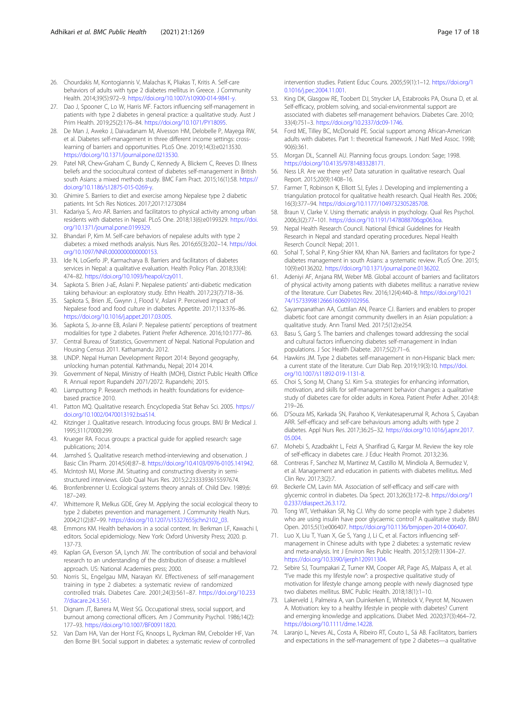- <span id="page-16-0"></span>26. Chourdakis M, Kontogiannis V, Malachas K, Pliakas T, Kritis A. Self-care behaviors of adults with type 2 diabetes mellitus in Greece. J Community Health. 2014;39(5):972–9. <https://doi.org/10.1007/s10900-014-9841-y>.
- 27. Dao J, Spooner C, Lo W, Harris MF. Factors influencing self-management in patients with type 2 diabetes in general practice: a qualitative study. Aust J Prim Health. 2019;25(2):176–84. [https://doi.org/10.1071/PY18095.](https://doi.org/10.1071/PY18095)
- 28. De Man J, Aweko J, Daivadanam M, Alvesson HM, Delobelle P, Mayega RW, et al. Diabetes self-management in three different income settings: crosslearning of barriers and opportunities. PLoS One. 2019;14(3):e0213530. [https://doi.org/10.1371/journal.pone.0213530.](https://doi.org/10.1371/journal.pone.0213530)
- 29. Patel NR, Chew-Graham C, Bundy C, Kennedy A, Blickem C, Reeves D. Illness beliefs and the sociocultural context of diabetes self-management in British south Asians: a mixed methods study. BMC Fam Pract. 2015;16(1):58. [https://](https://doi.org/10.1186/s12875-015-0269-y) [doi.org/10.1186/s12875-015-0269-y](https://doi.org/10.1186/s12875-015-0269-y).
- 30. Ghimire S. Barriers to diet and exercise among Nepalese type 2 diabetic patients. Int Sch Res Notices. 2017;2017:1273084
- 31. Kadariya S, Aro AR. Barriers and facilitators to physical activity among urban residents with diabetes in Nepal. PLoS One. 2018;13(6):e0199329. [https://doi.](https://doi.org/10.1371/journal.pone.0199329) [org/10.1371/journal.pone.0199329.](https://doi.org/10.1371/journal.pone.0199329)
- 32. Bhandari P, Kim M. Self-care behaviors of nepalese adults with type 2 diabetes: a mixed methods analysis. Nurs Res. 2016;65(3):202–14. [https://doi.](https://doi.org/10.1097/NNR.0000000000000153) [org/10.1097/NNR.0000000000000153](https://doi.org/10.1097/NNR.0000000000000153).
- 33. Ide N, LoGerfo JP, Karmacharya B. Barriers and facilitators of diabetes services in Nepal: a qualitative evaluation. Health Policy Plan. 2018;33(4): 474–82. <https://doi.org/10.1093/heapol/czy011>.
- 34. Sapkota S. Brien J-aE, Aslani P. Nepalese patients' anti-diabetic medication taking behaviour: an exploratory study. Ethn Health. 2017;23(7):718–36.
- 35. Sapkota S, Brien JE, Gwynn J, Flood V, Aslani P. Perceived impact of Nepalese food and food culture in diabetes. Appetite. 2017;113:376–86. <https://doi.org/10.1016/j.appet.2017.03.005>.
- 36. Sapkota S, Jo-anne EB, Aslani P. Nepalese patients' perceptions of treatment modalities for type 2 diabetes. Patient Prefer Adherence. 2016;10:1777–86.
- 37. Central Bureau of Statistics, Government of Nepal. National Population and Housing Census 2011. Kathamandu 2012.
- 38. UNDP. Nepal Human Development Report 2014: Beyond geography, unlocking human potential. Kathmandu, Nepal; 2014 2014.
- 39. Government of Nepal, Ministry of Health (MOH), District Public Health Office R. Annual report Rupandehi 2071/2072. Rupandehi; 2015.
- 40. Liamputtong P. Research methods in health: foundations for evidencebased practice 2010.
- 41. Patton MQ. Qualitative research. Encyclopedia Stat Behav Sci. 2005. [https://](https://doi.org/10.1002/0470013192.bsa514) [doi.org/10.1002/0470013192.bsa514](https://doi.org/10.1002/0470013192.bsa514).
- 42. Kitzinger J. Qualitative research. Introducing focus groups. BMJ Br Medical J. 1995;311(7000):299.
- 43. Krueger RA. Focus groups: a practical guide for applied research: sage publications; 2014.
- 44. Jamshed S. Qualitative research method-interviewing and observation. J Basic Clin Pharm. 2014;5(4):87–8. <https://doi.org/10.4103/0976-0105.141942>.
- 45. McIntosh MJ, Morse JM. Situating and constructing diversity in semistructured interviews. Glob Qual Nurs Res. 2015;2:2333393615597674.
- 46. Bronfenbrenner U. Ecological systems theory annals of. Child Dev. 1989;6: 187–249.
- 47. Whittemore R, Melkus GDE, Grey M. Applying the social ecological theory to type 2 diabetes prevention and management. J Community Health Nurs. 2004;21(2):87–99. [https://doi.org/10.1207/s15327655jchn2102\\_03.](https://doi.org/10.1207/s15327655jchn2102_03)
- 48. Emmons KM. Health behaviors in a social context. In: Berkman LF, Kawachi I, editors. Social epidemiology. New York: Oxford University Press; 2020. p. 137-73.
- 49. Kaplan GA, Everson SA, Lynch JW. The contribution of social and behavioral research to an understanding of the distribution of disease: a multilevel approach. US: National Academies press; 2000.
- 50. Norris SL, Engelgau MM, Narayan KV. Effectiveness of self-management training in type 2 diabetes: a systematic review of randomized controlled trials. Diabetes Care. 2001;24(3):561–87. [https://doi.org/10.233](https://doi.org/10.2337/diacare.24.3.561) [7/diacare.24.3.561.](https://doi.org/10.2337/diacare.24.3.561)
- 51. Dignam JT, Barrera M, West SG. Occupational stress, social support, and burnout among correctional officers. Am J Community Psychol. 1986;14(2): 177–93. <https://doi.org/10.1007/BF00911820>.
- 52. Van Dam HA, Van der Horst FG, Knoops L, Ryckman RM, Crebolder HF, Van den Borne BH. Social support in diabetes: a systematic review of controlled

intervention studies. Patient Educ Couns. 2005;59(1):1–12. [https://doi.org/1](https://doi.org/10.1016/j.pec.2004.11.001) [0.1016/j.pec.2004.11.001.](https://doi.org/10.1016/j.pec.2004.11.001)

- 53. King DK, Glasgow RE, Toobert DJ, Strycker LA, Estabrooks PA, Osuna D, et al. Self-efficacy, problem solving, and social-environmental support are associated with diabetes self-management behaviors. Diabetes Care. 2010; 33(4):751–3. <https://doi.org/10.2337/dc09-1746>.
- 54. Ford ME, Tilley BC, McDonald PE. Social support among African-American adults with diabetes. Part 1: theoretical framework. J Natl Med Assoc. 1998; 90(6):361.
- 55. Morgan DL, Scannell AU. Planning focus groups. London: Sage; 1998. <https://doi.org/10.4135/9781483328171>.
- 56. Ness LR. Are we there yet? Data saturation in qualitative research. Qual Report. 2015;20(9):1408–16.
- 57. Farmer T, Robinson K, Elliott SJ, Eyles J. Developing and implementing a triangulation protocol for qualitative health research. Qual Health Res. 2006; 16(3):377–94. [https://doi.org/10.1177/1049732305285708.](https://doi.org/10.1177/1049732305285708)
- 58. Braun V, Clarke V. Using thematic analysis in psychology. Qual Res Psychol. 2006;3(2):77–101. [https://doi.org/10.1191/1478088706qp063oa.](https://doi.org/10.1191/1478088706qp063oa)
- 59. Nepal Health Research Council. National Ethical Guidelines for Health Research in Nepal and standard operating procedures. Nepal Health Reserch Council: Nepal; 2011.
- 60. Sohal T, Sohal P, King-Shier KM, Khan NA. Barriers and facilitators for type-2 diabetes management in south Asians: a systematic review. PLoS One. 2015; 10(9):e0136202. <https://doi.org/10.1371/journal.pone.0136202>.
- 61. Adeniyi AF, Anjana RM, Weber MB. Global account of barriers and facilitators of physical activity among patients with diabetes mellitus: a narrative review of the literature. Curr Diabetes Rev. 2016;12(4):440–8. [https://doi.org/10.21](https://doi.org/10.2174/1573399812666160609102956) [74/1573399812666160609102956](https://doi.org/10.2174/1573399812666160609102956).
- 62. Sayampanathan AA, Cuttilan AN, Pearce CJ. Barriers and enablers to proper diabetic foot care amongst community dwellers in an Asian population: a qualitative study. Ann Transl Med. 2017;5(12):e254.
- 63. Basu S, Garg S. The barriers and challenges toward addressing the social and cultural factors influencing diabetes self-management in Indian populations. J Soc Health Diabete. 2017;5(2):71–6.
- 64. Hawkins JM. Type 2 diabetes self-management in non-Hispanic black men: a current state of the literature. Curr Diab Rep. 2019;19(3):10. [https://doi.](https://doi.org/10.1007/s11892-019-1131-8) [org/10.1007/s11892-019-1131-8](https://doi.org/10.1007/s11892-019-1131-8).
- 65. Choi S, Song M, Chang SJ. Kim S-a. strategies for enhancing information, motivation, and skills for self-management behavior changes: a qualitative study of diabetes care for older adults in Korea. Patient Prefer Adher. 2014;8: 219–26.
- 66. D'Souza MS, Karkada SN, Parahoo K, Venkatesaperumal R, Achora S, Cayaban ARR. Self-efficacy and self-care behaviours among adults with type 2 diabetes. Appl Nurs Res. 2017;36:25–32. [https://doi.org/10.1016/j.apnr.2017.](https://doi.org/10.1016/j.apnr.2017.05.004) [05.004](https://doi.org/10.1016/j.apnr.2017.05.004).
- 67. Mohebi S, Azadbakht L, Feizi A, Sharifirad G, Kargar M. Review the key role of self-efficacy in diabetes care. J Educ Health Promot. 2013;2:36.
- 68. Contreras F, Sanchez M, Martinez M, Castillo M, Mindiola A, Bermudez V, et al. Management and education in patients with diabetes mellitus. Med Clin Rev. 2017;3(2):7.
- Beckerle CM, Lavin MA. Association of self-efficacy and self-care with glycemic control in diabetes. Dia Spect. 2013;26(3):172–8. [https://doi.org/1](https://doi.org/10.2337/diaspect.26.3.172) [0.2337/diaspect.26.3.172](https://doi.org/10.2337/diaspect.26.3.172).
- 70. Tong WT, Vethakkan SR, Ng CJ. Why do some people with type 2 diabetes who are using insulin have poor glycaemic control? A qualitative study. BMJ Open. 2015;5(1):e006407. <https://doi.org/10.1136/bmjopen-2014-006407>.
- 71. Luo X, Liu T, Yuan X, Ge S, Yang J, Li C, et al. Factors influencing selfmanagement in Chinese adults with type 2 diabetes: a systematic review and meta-analysis. Int J Environ Res Public Health. 2015;12(9):11304–27. [https://doi.org/10.3390/ijerph120911304.](https://doi.org/10.3390/ijerph120911304)
- 72. Sebire SJ, Toumpakari Z, Turner KM, Cooper AR, Page AS, Malpass A, et al. "I've made this my lifestyle now": a prospective qualitative study of motivation for lifestyle change among people with newly diagnosed type two diabetes mellitus. BMC Public Health. 2018;18(1):1–10.
- 73. Lakerveld J, Palmeira A, van Duinkerken E, Whitelock V, Peyrot M, Nouwen A. Motivation: key to a healthy lifestyle in people with diabetes? Current and emerging knowledge and applications. Diabet Med. 2020;37(3):464–72. <https://doi.org/10.1111/dme.14228>.
- 74. Laranjo L, Neves AL, Costa A, Ribeiro RT, Couto L, Sá AB. Facilitators, barriers and expectations in the self-management of type 2 diabetes—a qualitative